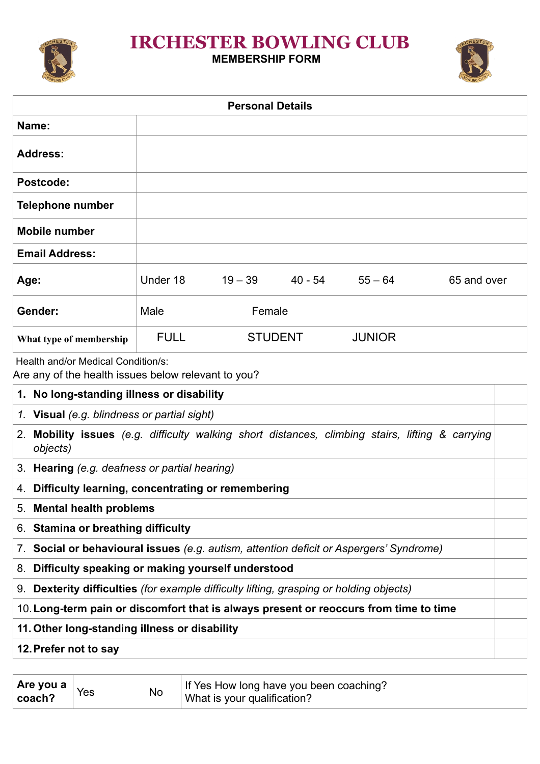## **IRCHESTER BOWLING CLUB**

### **MEMBERSHIP FORM**



|                                                                                                              |             | <b>Personal Details</b> |         |               |             |
|--------------------------------------------------------------------------------------------------------------|-------------|-------------------------|---------|---------------|-------------|
| Name:                                                                                                        |             |                         |         |               |             |
| <b>Address:</b>                                                                                              |             |                         |         |               |             |
| Postcode:                                                                                                    |             |                         |         |               |             |
| <b>Telephone number</b>                                                                                      |             |                         |         |               |             |
| <b>Mobile number</b>                                                                                         |             |                         |         |               |             |
| <b>Email Address:</b>                                                                                        |             |                         |         |               |             |
| Age:                                                                                                         | Under 18    | $19 - 39$               | 40 - 54 | $55 - 64$     | 65 and over |
| Gender:                                                                                                      | Male        | Female                  |         |               |             |
| What type of membership                                                                                      | <b>FULL</b> | <b>STUDENT</b>          |         | <b>JUNIOR</b> |             |
| Health and/or Medical Condition/s:<br>Are any of the health issues below relevant to you?                    |             |                         |         |               |             |
| 1. No long-standing illness or disability                                                                    |             |                         |         |               |             |
| 1. Visual (e.g. blindness or partial sight)                                                                  |             |                         |         |               |             |
| 2. Mobility issues (e.g. difficulty walking short distances, climbing stairs, lifting & carrying<br>objects) |             |                         |         |               |             |
| 3. Hearing (e.g. deafness or partial hearing)                                                                |             |                         |         |               |             |
| 4. Difficulty learning, concentrating or remembering                                                         |             |                         |         |               |             |
| 5. Mental health problems                                                                                    |             |                         |         |               |             |
| 6. Stamina or breathing difficulty                                                                           |             |                         |         |               |             |

- 7. **Social or behavioural issues** *(e.g. autism, attention deficit or Aspergers' Syndrome)*
- 8. **Difficulty speaking or making yourself understood**
- 9. **Dexterity difficulties** *(for example difficulty lifting, grasping or holding objects)*
- 10.**Long-term pain or discomfort that is always present or reoccurs from time to time**
- **11. Other long-standing illness or disability**
- **12.Prefer not to say**

| ∣ Are you a ∣ | Yes | If Yes How long have you been coaching? |
|---------------|-----|-----------------------------------------|
| coach?        | No  | What is your qualification?             |